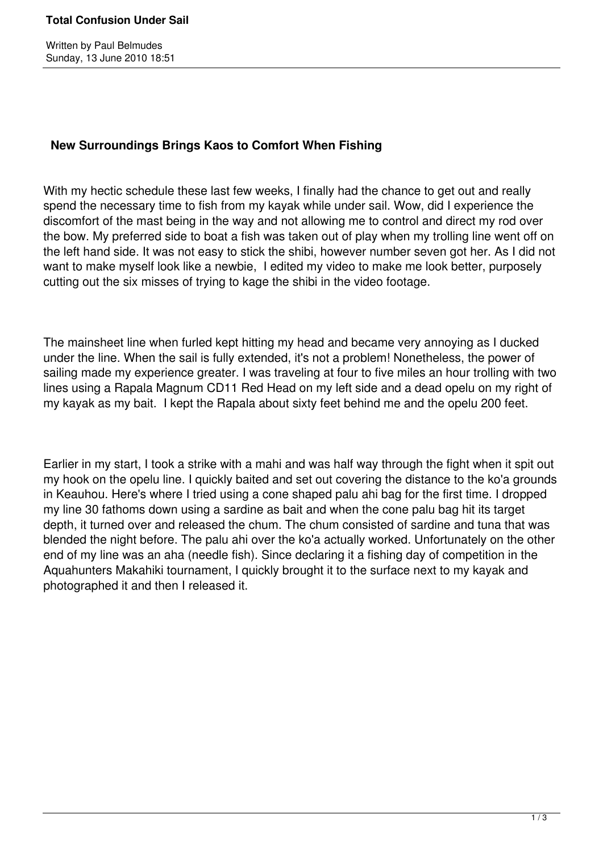Written by Paul Belmudes Sunday, 13 June 2010 18:51

## **New Surroundings Brings Kaos to Comfort When Fishing**

With my hectic schedule these last few weeks, I finally had the chance to get out and really spend the necessary time to fish from my kayak while under sail. Wow, did I experience the discomfort of the mast being in the way and not allowing me to control and direct my rod over the bow. My preferred side to boat a fish was taken out of play when my trolling line went off on the left hand side. It was not easy to stick the shibi, however number seven got her. As I did not want to make myself look like a newbie, I edited my video to make me look better, purposely cutting out the six misses of trying to kage the shibi in the video footage.

The mainsheet line when furled kept hitting my head and became very annoying as I ducked under the line. When the sail is fully extended, it's not a problem! Nonetheless, the power of sailing made my experience greater. I was traveling at four to five miles an hour trolling with two lines using a Rapala Magnum CD11 Red Head on my left side and a dead opelu on my right of my kayak as my bait. I kept the Rapala about sixty feet behind me and the opelu 200 feet.

Earlier in my start, I took a strike with a mahi and was half way through the fight when it spit out my hook on the opelu line. I quickly baited and set out covering the distance to the ko'a grounds in Keauhou. Here's where I tried using a cone shaped palu ahi bag for the first time. I dropped my line 30 fathoms down using a sardine as bait and when the cone palu bag hit its target depth, it turned over and released the chum. The chum consisted of sardine and tuna that was blended the night before. The palu ahi over the ko'a actually worked. Unfortunately on the other end of my line was an aha (needle fish). Since declaring it a fishing day of competition in the Aquahunters Makahiki tournament, I quickly brought it to the surface next to my kayak and photographed it and then I released it.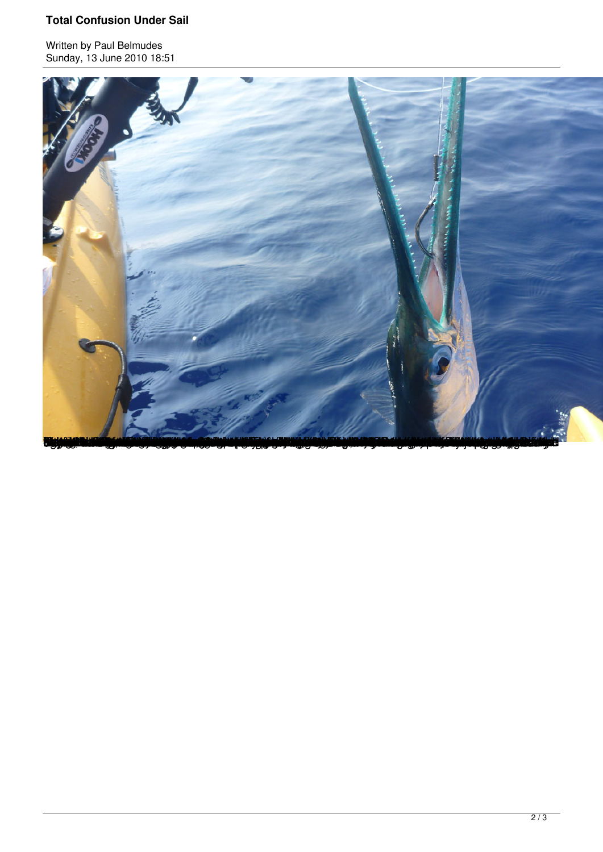## **Total Confusion Under Sail**

Written by Paul Belmudes Sunday, 13 June 2010 18:51